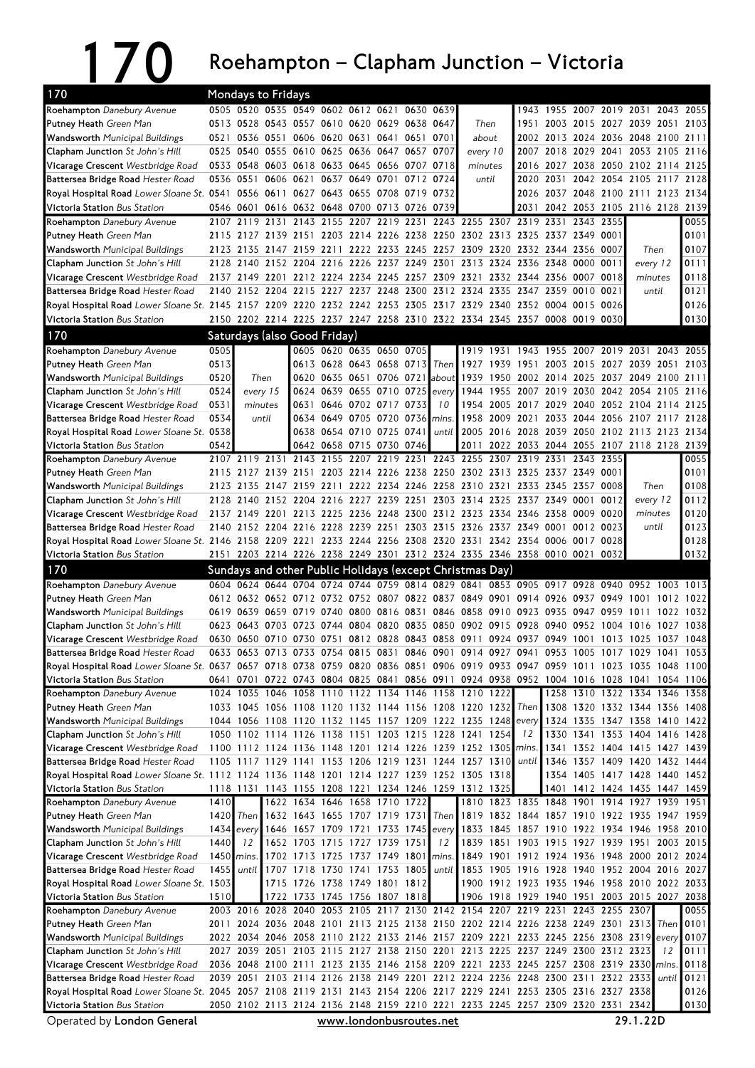## 170 Roehampton – Clapham Junction – Victoria

| 170                                                                                                                                             |      | Mondays to Fridays                           |                                         |                                                                |                     |                |                                            |           |           |                                                                                             |           |                     |                          |              |      |                                                                                         |           |              |
|-------------------------------------------------------------------------------------------------------------------------------------------------|------|----------------------------------------------|-----------------------------------------|----------------------------------------------------------------|---------------------|----------------|--------------------------------------------|-----------|-----------|---------------------------------------------------------------------------------------------|-----------|---------------------|--------------------------|--------------|------|-----------------------------------------------------------------------------------------|-----------|--------------|
| Roehampton Danebury Avenue                                                                                                                      |      | 0505 0520 0535 0549 0602 0612 0621           |                                         |                                                                |                     |                |                                            |           | 0630 0639 |                                                                                             |           |                     |                          |              |      | 1943 1955 2007 2019 2031 2043 2055                                                      |           |              |
| Putney Heath Green Man                                                                                                                          |      | 0513 0528 0543 0557 0610 0620 0629 0638 0647 |                                         |                                                                |                     |                |                                            |           |           |                                                                                             | Then      | 1951                |                          |              |      | 2003 2015 2027 2039 2051 2103                                                           |           |              |
| <b>Wandsworth</b> Municipal Buildings                                                                                                           | 0521 |                                              | 0536 0551 0606 0620 0631 0641 0651 0701 |                                                                |                     |                |                                            |           |           | about                                                                                       |           |                     |                          |              |      | 2002 2013 2024 2036 2048 2100 2111                                                      |           |              |
| <b>Clapham Junction</b> St John's Hill                                                                                                          | 0525 | 0540                                         |                                         | 0555 0610 0625 0636 0647 0657 0707                             |                     |                |                                            |           |           | every 10                                                                                    |           | 2007                | 2018                     |              |      | 2029 2041 2053 2105 2116                                                                |           |              |
| Vicarage Crescent Westbridge Road                                                                                                               |      | 0533 0548 0603 0618 0633 0645 0656 0707 0718 |                                         |                                                                |                     |                |                                            |           |           | minutes                                                                                     |           | 2016                |                          |              |      | 2027 2038 2050 2102 2114 2125                                                           |           |              |
| Battersea Bridge Road Hester Road                                                                                                               |      | 0536 0551                                    |                                         | 0606 0621                                                      |                     | 0637 0649 0701 |                                            | 0712 0724 |           |                                                                                             | until     | 2020                | 2031                     |              |      | 2042 2054 2105 2117 2128                                                                |           |              |
| Royal Hospital Road Lower Sloane St. 0541 0556 0611 0627 0643 0655 0708 0719 0732                                                               |      |                                              |                                         |                                                                |                     |                |                                            |           |           |                                                                                             |           |                     |                          |              |      | 2026 2037 2048 2100 2111 2123 2134                                                      |           |              |
| Victoria Station Bus Station                                                                                                                    |      | 0546 0601                                    |                                         | 0616 0632 0648 0700 0713 0726 0739                             |                     |                |                                            |           |           |                                                                                             |           | 2031                |                          |              |      | 2042 2053 2105 2116 2128 2139                                                           |           |              |
| Roehampton Danebury Avenue                                                                                                                      |      | 2107 2119                                    | 2131                                    |                                                                |                     |                |                                            |           |           | 2143 2155 2207 2219 2231 2243 2255 2307 2319 2331 2343 2355                                 |           |                     |                          |              |      |                                                                                         |           | 0055         |
| <b>Putney Heath Green Man</b>                                                                                                                   | 2115 | 2127                                         |                                         |                                                                |                     |                |                                            |           |           | 2139 2151 2203 2214 2226 2238 2250 2302 2313 2325 2337 2349                                 |           |                     |                          |              | 0001 |                                                                                         |           | 0101         |
| <b>Wandsworth Municipal Buildings</b>                                                                                                           | 2123 | 2135                                         |                                         | 2147 2159 2211                                                 |                     |                |                                            |           |           | 2222 2233 2245 2257 2309 2320 2332 2344 2356                                                |           |                     |                          |              | 0007 | Then                                                                                    |           | 0107         |
| <b>Clapham Junction</b> St John's Hill                                                                                                          | 2128 | 2140                                         |                                         | 2152 2204 2216                                                 |                     |                | 2226 2237 2249 2301                        |           |           |                                                                                             | 2313 2324 |                     | 2336 2348                | 0000         | 0011 | every 12                                                                                |           | 0111         |
| Vicarage Crescent Westbridge Road                                                                                                               |      |                                              |                                         |                                                                |                     |                |                                            |           |           | 2137 2149 2201 2212 2224 2234 2245 2257 2309 2321 2332 2344 2356 0007                       |           |                     |                          |              | 0018 | minutes                                                                                 |           | 0118         |
| Battersea Bridge Road Hester Road                                                                                                               |      |                                              |                                         |                                                                |                     |                |                                            |           |           | 2140 2152 2204 2215 2227 2237 2248 2300 2312 2324 2335 2347 2359 0010                       |           |                     |                          |              | 0021 | until                                                                                   |           | 0121         |
| Royal Hospital Road Lower Sloane St. 2145 2157 2209 2220 2232 2242 2253 2305 2317 2329 2340 2352 0004 0015 0026                                 |      |                                              |                                         |                                                                |                     |                |                                            |           |           |                                                                                             |           |                     |                          |              |      |                                                                                         |           | 0126         |
| Victoria Station Bus Station                                                                                                                    |      |                                              |                                         |                                                                |                     |                |                                            |           |           | 2150 2202 2214 2225 2237 2247 2258 2310 2322 2334 2345 2357 0008 0019                       |           |                     |                          |              | 0030 |                                                                                         |           | 0130         |
| 170                                                                                                                                             |      | Saturdays (also Good Friday)                 |                                         |                                                                |                     |                |                                            |           |           |                                                                                             |           |                     |                          |              |      |                                                                                         |           |              |
| Roehampton Danebury Avenue                                                                                                                      | 0505 |                                              |                                         |                                                                |                     |                | 0605 0620 0635 0650 0705                   |           |           |                                                                                             |           |                     |                          |              |      | 1919 1931 1943 1955 2007 2019 2031 2043 2055                                            |           |              |
| Putney Heath Green Man                                                                                                                          | 0513 |                                              |                                         |                                                                |                     |                | 0613 0628 0643 0658 0713                   |           |           | Then 1927 1939                                                                              |           | 1951                | 2003                     | 2015         |      | 2027 2039 2051 2103                                                                     |           |              |
| <b>Wandsworth</b> Municipal Buildings                                                                                                           | 0520 |                                              | Then                                    | 0620                                                           |                     |                | 0635 0651 0706 0721                        |           |           | about   1939 1950 2002 2014                                                                 |           |                     |                          | 2025         |      | 2037 2049 2100 2111                                                                     |           |              |
| Clapham Junction St John's Hill                                                                                                                 | 0524 |                                              | every 15                                | 0624                                                           |                     |                | 0639 0655 0710 0725                        |           | every     |                                                                                             |           |                     |                          |              |      | 1944 1955 2007 2019 2030 2042 2054 2105 2116                                            |           |              |
| Vicarage Crescent Westbridge Road                                                                                                               | 0531 |                                              | minutes                                 | 0631                                                           |                     |                | 0646 0702 0717 0733                        |           | 10        |                                                                                             |           | 1954 2005 2017 2029 |                          | 2040         |      | 2052 2104 2114 2125                                                                     |           |              |
| Battersea Bridge Road Hester Road                                                                                                               | 0534 |                                              | until                                   | 0634                                                           |                     | 0649 0705 0720 |                                            | 0736      | mins.     | 1958                                                                                        | 2009 2021 |                     | 2033                     | 2044         |      | 2056 2107 2117 2128                                                                     |           |              |
| Royal Hospital Road Lower Sloane St. 0538                                                                                                       |      |                                              |                                         |                                                                | 0638 0654 0710 0725 |                |                                            | 0741      | until     |                                                                                             |           |                     | 2005 2016 2028 2039 2050 |              |      | 2102 2113 2123 2134                                                                     |           |              |
| Victoria Station Bus Station                                                                                                                    | 0542 |                                              |                                         |                                                                | 0642 0658           | 0715 0730      |                                            | 0746      |           | 2011                                                                                        | 2022      |                     | 2033 2044 2055           |              |      | 2107 2118 2128                                                                          |           | 2139         |
| Roehampton Danebury Avenue                                                                                                                      |      | 2107 2119 2131                               |                                         | 2143                                                           | 2155                | 2207           | 2219                                       |           |           | 2231 2243 2255 2307                                                                         |           | 2319                | 2331                     | 2343         | 2355 |                                                                                         |           | 0055         |
| <b>Putney Heath Green Man</b>                                                                                                                   |      |                                              |                                         |                                                                |                     |                |                                            |           |           | 2115 2127 2139 2151 2203 2214 2226 2238 2250 2302 2313 2325 2337 2349                       |           |                     |                          |              | 0001 |                                                                                         |           | 0101         |
| <b>Wandsworth</b> Municipal Buildings                                                                                                           |      | 2123 2135                                    |                                         | 2147 2159 2211                                                 |                     |                |                                            |           |           | 2222 2234 2246 2258 2310 2321                                                               |           |                     | 2333 2345                | 2357         | 0008 | Then                                                                                    |           | 0108         |
| <b>Clapham Junction</b> St John's Hill                                                                                                          | 2128 | 2140                                         |                                         |                                                                |                     |                |                                            |           |           | 2152 2204 2216 2227 2239 2251 2303 2314 2325                                                |           | 2337                | 2349                     | 0001         | 0012 | every 12                                                                                |           | 0112         |
| Vicarage Crescent Westbridge Road                                                                                                               |      |                                              |                                         |                                                                |                     |                |                                            |           |           | 2137 2149 2201 2213 2225 2236 2248 2300 2312 2323 2334 2346 2358                            |           |                     |                          | 0009         | 0020 | minutes                                                                                 |           | 0120         |
| Battersea Bridge Road Hester Road<br>Royal Hospital Road Lower Sloane St. 2146 2158 2209 2221 2233 2244 2256 2308 2320 2331 2342 2354 0006 0017 |      |                                              |                                         |                                                                |                     |                |                                            |           |           | 2140 2152 2204 2216 2228 2239 2251 2303 2315 2326 2337 2349 0001                            |           |                     |                          | 0012 0023    | 0028 | until                                                                                   |           | 0123         |
| Victoria Station Bus Station                                                                                                                    |      |                                              |                                         |                                                                |                     |                |                                            |           |           | 2151 2203 2214 2226 2238 2249 2301 2312 2324 2335 2346 2358 0010 0021 0032                  |           |                     |                          |              |      |                                                                                         |           | 0128<br>0132 |
|                                                                                                                                                 |      |                                              |                                         |                                                                |                     |                |                                            |           |           |                                                                                             |           |                     |                          |              |      |                                                                                         |           |              |
|                                                                                                                                                 |      |                                              |                                         |                                                                |                     |                |                                            |           |           |                                                                                             |           |                     |                          |              |      |                                                                                         |           |              |
| 170                                                                                                                                             |      |                                              |                                         |                                                                |                     |                |                                            |           |           | Sundays and other Public Holidays (except Christmas Day)                                    |           |                     |                          |              |      |                                                                                         |           |              |
| Roehampton Danebury Avenue                                                                                                                      |      |                                              |                                         |                                                                |                     |                |                                            |           |           | 0604 0624 0644 0704 0724 0744 0759 0814 0829 0841 0853 0905 0917 0928                       |           |                     |                          |              |      | 0940 0952 1003 1013                                                                     |           |              |
| Putney Heath Green Man                                                                                                                          |      |                                              |                                         |                                                                |                     |                |                                            |           |           | 0612 0632 0652 0712 0732 0752 0807 0822 0837 0849 0901 0914 0926                            |           |                     |                          |              |      | 0937 0949 1001 1012 1022                                                                |           |              |
| Wandsworth Municipal Buildings                                                                                                                  | 0623 | 0619 0639 0659 0719 0740                     | 0643 0703 0723 0744                     |                                                                |                     |                | 0800 0816 0831 0846<br>0804 0820 0835 0850 |           |           | 0858 0910 0923 0935                                                                         |           | 0902 0915 0928 0940 |                          | 0947<br>0952 | 0959 | 1011<br>1004 1016 1027 1038                                                             | 1022 1032 |              |
| <b>Clapham Junction</b> St John's Hill<br>Vicarage Crescent Westbridge Road                                                                     |      |                                              |                                         |                                                                |                     |                |                                            |           |           | 0630 0650 0710 0730 0751 0812 0828 0843 0858 0911 0924 0937 0949 1001 1013 1025 1037 1048   |           |                     |                          |              |      |                                                                                         |           |              |
| Battersea Bridge Road Hester Road                                                                                                               |      |                                              |                                         |                                                                |                     |                |                                            |           |           | 0633 0653 0713 0733 0754 0815 0831 0846 0901 0914 0927 0941 0953 1005 1017 1029 1041 1053   |           |                     |                          |              |      |                                                                                         |           |              |
| 1001 1023 Royal Hospital Road <i>Lower Sloane St. 0637 0657 0718 0738 0759 0820 0836 0851 0906 0919 0933 0947 0959 1011 1023 1035 1048 1100</i> |      |                                              |                                         |                                                                |                     |                |                                            |           |           |                                                                                             |           |                     |                          |              |      |                                                                                         |           |              |
| Victoria Station Bus Station                                                                                                                    |      |                                              |                                         |                                                                |                     |                |                                            |           |           | 0641 0701 0722 0743 0804 0825 0841 0856 0911 0924 0938 0952 1004 1016 1028 1041 1054 1106   |           |                     |                          |              |      |                                                                                         |           |              |
| Roehampton Danebury Avenue                                                                                                                      |      |                                              |                                         |                                                                |                     |                |                                            |           |           | 1024 1035 1046 1058 1110 1122 1134 1146 1158 1210 1222                                      |           |                     |                          |              |      | 1258 1310 1322 1334 1346 1358                                                           |           |              |
| Putney Heath Green Man                                                                                                                          |      |                                              |                                         |                                                                |                     |                |                                            |           |           | 1033 1045 1056 1108 1120 1132 1144 1156 1208 1220 1232 Then                                 |           |                     |                          |              |      | 1308 1320 1332 1344 1356 1408                                                           |           |              |
| Wandsworth Municipal Buildings                                                                                                                  |      |                                              |                                         |                                                                |                     |                |                                            |           |           | 1044 1056 1108 1120 1132 1145 1157 1209 1222 1235 1248 every                                |           |                     |                          |              |      | 1324 1335 1347 1358 1410 1422                                                           |           |              |
| Clapham Junction St John's Hill                                                                                                                 |      |                                              |                                         |                                                                |                     |                |                                            |           |           | 1050 1102 1114 1126 1138 1151 1203 1215 1228 1241 1254                                      |           | 12                  |                          |              |      | 1330 1341 1353 1404 1416 1428                                                           |           |              |
| Vicarage Crescent Westbridge Road                                                                                                               |      |                                              |                                         |                                                                |                     |                |                                            |           |           | 1100 1112 1124 1136 1148 1201 1214 1226 1239 1252 1305 mins.                                |           |                     |                          |              |      | 1341 1352 1404 1415 1427 1439                                                           |           |              |
| Battersea Bridge Road Hester Road                                                                                                               |      |                                              |                                         |                                                                |                     |                |                                            |           |           | 1105 1117 1129 1141 1153 1206 1219 1231 1244 1257 1310 until 1346 1357 1409 1420 1432 1444  |           |                     |                          |              |      |                                                                                         |           |              |
| Royal Hospital Road Lower Sloane St. 1112 1124 1136 1148 1201 1214 1227 1239 1252 1305 1318                                                     |      |                                              |                                         |                                                                |                     |                |                                            |           |           |                                                                                             |           |                     |                          |              |      | 1354 1405 1417 1428 1440 1452                                                           |           |              |
| Victoria Station Bus Station                                                                                                                    |      |                                              |                                         |                                                                |                     |                |                                            |           |           | 1118 1131 1143 1155 1208 1221 1234 1246 1259 1312 1325                                      |           |                     |                          |              |      | 1401 1412 1424 1435 1447 1459                                                           |           |              |
| Roehampton Danebury Avenue                                                                                                                      | 1410 |                                              |                                         | 1622 1634 1646 1658 1710 1722                                  |                     |                |                                            |           |           |                                                                                             |           |                     |                          |              |      | 1810 1823 1835 1848 1901 1914 1927 1939 1951                                            |           |              |
| Putney Heath Green Man                                                                                                                          |      | 1420 Then 1632 1643 1655 1707 1719 1731      |                                         |                                                                |                     |                |                                            |           | Then I    |                                                                                             |           |                     |                          |              |      | 1819 1832 1844 1857 1910 1922 1935 1947 1959                                            |           |              |
| Wandsworth Municipal Buildings                                                                                                                  |      |                                              |                                         |                                                                |                     |                |                                            |           |           | 1434 every 1646 1657 1709 1721 1733 1745 every 1833 1845 1857 1910 1922 1934 1946 1958 2010 |           |                     |                          |              |      |                                                                                         |           |              |
| Clapham Junction St John's Hill                                                                                                                 | 1440 | 12                                           |                                         | 1652 1703 1715 1727 1739 1751                                  |                     |                |                                            |           | 12        |                                                                                             |           |                     |                          |              |      | 1839 1851 1903 1915 1927 1939 1951 2003 2015                                            |           |              |
| Vicarage Crescent Westbridge Road                                                                                                               |      | $1450$ mins.                                 |                                         | 1702 1713 1725 1737 1749 1801                                  |                     |                |                                            |           | mins.     |                                                                                             |           |                     |                          |              |      | 1849 1901 1912 1924 1936 1948 2000 2012 2024                                            |           |              |
| Battersea Bridge Road Hester Road                                                                                                               | 1455 | until                                        |                                         | 1707 1718 1730 1741 1753 1805                                  |                     |                |                                            |           | until     |                                                                                             |           |                     |                          |              |      | 1853 1905 1916 1928 1940 1952 2004 2016 2027                                            |           |              |
| Royal Hospital Road Lower Sloane St. 1503                                                                                                       | 1510 |                                              |                                         | 1715 1726 1738 1749 1801 1812<br>1722 1733 1745 1756 1807 1818 |                     |                |                                            |           |           |                                                                                             |           |                     |                          |              |      | 1900 1912 1923 1935 1946 1958 2010 2022 2033<br>1906 1918 1929 1940 1951 2003 2015 2027 |           | 2038         |
| Victoria Station Bus Station<br>Roehampton Danebury Avenue                                                                                      |      |                                              |                                         |                                                                |                     |                |                                            |           |           | 2003 2016 2028 2040 2053 2105 2117 2130 2142 2154 2207 2219 2231 2243 2255 2307             |           |                     |                          |              |      |                                                                                         |           | 0055         |
| Putney Heath Green Man                                                                                                                          |      |                                              |                                         |                                                                |                     |                |                                            |           |           | 2011 2024 2036 2048 2101 2113 2125 2138 2150 2202 2214 2226 2238 2249 2301 2313             |           |                     |                          |              |      |                                                                                         | Then      | 0101         |
| Wandsworth Municipal Buildings                                                                                                                  |      |                                              |                                         |                                                                |                     |                |                                            |           |           | 2022 2034 2046 2058 2110 2122 2133 2146 2157 2209 2221 2233 2245 2256 2308 2319 every       |           |                     |                          |              |      |                                                                                         |           | 0107         |
| Clapham Junction St John's Hill                                                                                                                 |      |                                              |                                         |                                                                |                     |                |                                            |           |           | 2027 2039 2051 2103 2115 2127 2138 2150 2201 2213 2225 2237 2249 2300 2312 2323             |           |                     |                          |              |      |                                                                                         | 12        | 0111         |
| Vicarage Crescent Westbridge Road                                                                                                               |      |                                              |                                         |                                                                |                     |                |                                            |           |           | 2036 2048 2100 2111 2123 2135 2146 2158 2209 2221 2233 2245 2257 2308 2319 2330 mins.       |           |                     |                          |              |      |                                                                                         |           | 0118         |
| Battersea Bridge Road Hester Road                                                                                                               |      |                                              |                                         |                                                                |                     |                |                                            |           |           | 2039 2051 2103 2114 2126 2138 2149 2201 2212 2224 2236 2248 2300 2311 2322 2333 until       |           |                     |                          |              |      |                                                                                         |           | 0121         |
| Royal Hospital Road Lower Sloane St. 2045 2057 2108 2119 2131 2143 2154 2206 2217 2229 2241 2253 2305 2316 2327 2338                            |      |                                              |                                         |                                                                |                     |                |                                            |           |           |                                                                                             |           |                     |                          |              |      |                                                                                         |           | 0126         |
| Victoria Station Bus Station                                                                                                                    |      |                                              |                                         |                                                                |                     |                |                                            |           |           | 2050 2102 2113 2124 2136 2148 2159 2210 2221 2233 2245 2257 2309 2320 2331 2342             |           |                     |                          |              |      |                                                                                         |           | 0130         |